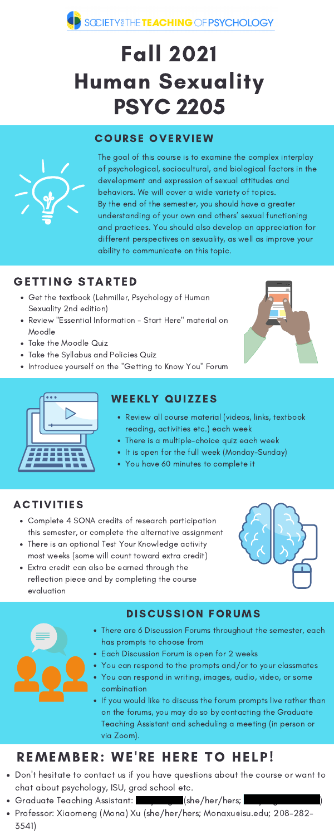

# Fall 2021 Human Sexuality PSYC 2205

### **COURSE OVERVIEW**



- Get the textbook (Lehmiller, Psychology of Human Sexuality 2nd edition)
- Review "Essential Information Start Here" material on Moodle
- Take the Moodle Quiz
- Take the Syllabus and Policies Quiz
- Introduce yourself on the "Getting to Know You" Forum





### WEEKLY QUIZZES

The goal of this course is to examine the complex interplay of psychological, sociocultural, and biological factors in the development and expression of sexual attitudes and behaviors. We will cover a wide variety of topics. By the end of the semester, you should have a greater understanding of your own and others' sexual functioning and practices. You should also develop an appreciation for different perspectives on sexuality, as well as improve your ability to communicate on this topic.

### GETTING STARTED

- Review all course material (videos, links, textbook reading, activities etc.) each week
- There is a multiple-choice quiz each week
- It is open for the full week (Monday-Sunday)
- You have 60 minutes to complete it

### **ACTIVITIES**

### DISCUSSION FORUMS

- There are 6 Discussion Forums throughout the semester, each has prompts to choose from
- Each Discussion Forum is open for 2 weeks
- You can respond to the prompts and/or to your classmates
- You can respond in writing, images, audio, video, or some combination
- If you would like to discuss the forum prompts live rather than on the forums, you may do so by contacting the Graduate Teaching Assistant and scheduling a meeting (in person or via Zoom).

## REMEMBER: WE'RE HERE TO HELP!

- Complete 4 SONA credits of research participation this semester, or complete the alternative assignment
- There is an optional Test Your Knowledge activity most weeks (some will count toward extra credit)
- Extra credit can also be earned through the reflection piece and by completing the course evaluation





- Don't hesitate to contact us if you have questions about the course or want to chat about psychology, ISU, grad school etc.
- Graduate Teaching Assistant: Graduate Teaching Assistant:  $\qquad \qquad \qquad \qquad \qquad \qquad \text{(she/her/hers)}$
- Professor: Xiaomeng (Mona) Xu (she/her/hers; Monaxu@isu.edu; 208-282- 3541)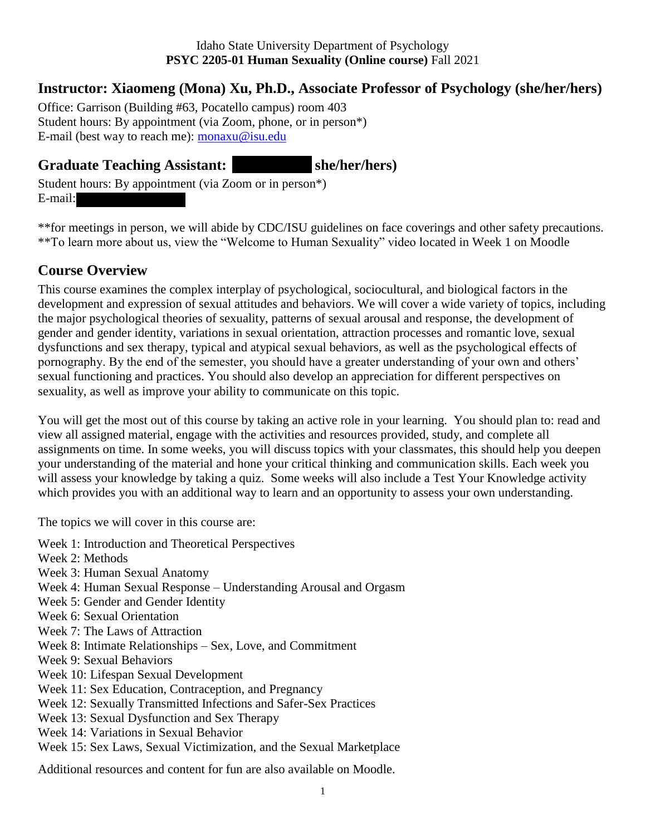#### Idaho State University Department of Psychology **PSYC 2205-01 Human Sexuality (Online course)** Fall 2021

#### **Instructor: Xiaomeng (Mona) Xu, Ph.D., Associate Professor of Psychology (she/her/hers)**

Office: Garrison (Building #63, Pocatello campus) room 403 Student hours: By appointment (via Zoom, phone, or in person\*) E-mail (best way to reach me): [monaxu@isu.edu](mailto:monaxu@isu.edu)

#### Graduate Teaching Assistant: she/her/hers)

Student hours: By appointment (via Zoom or in person\*) E-mail:

\*\*for meetings in person, we will abide by CDC/ISU guidelines on face coverings and other safety precautions. \*\*To learn more about us, view the "Welcome to Human Sexuality" video located in Week 1 on Moodle

#### **Course Overview**

This course examines the complex interplay of psychological, sociocultural, and biological factors in the development and expression of sexual attitudes and behaviors. We will cover a wide variety of topics, including the major psychological theories of sexuality, patterns of sexual arousal and response, the development of gender and gender identity, variations in sexual orientation, attraction processes and romantic love, sexual dysfunctions and sex therapy, typical and atypical sexual behaviors, as well as the psychological effects of pornography. By the end of the semester, you should have a greater understanding of your own and others' sexual functioning and practices. You should also develop an appreciation for different perspectives on sexuality, as well as improve your ability to communicate on this topic.

You will get the most out of this course by taking an active role in your learning. You should plan to: read and view all assigned material, engage with the activities and resources provided, study, and complete all assignments on time. In some weeks, you will discuss topics with your classmates, this should help you deepen your understanding of the material and hone your critical thinking and communication skills. Each week you will assess your knowledge by taking a quiz. Some weeks will also include a Test Your Knowledge activity which provides you with an additional way to learn and an opportunity to assess your own understanding.

The topics we will cover in this course are:

- Week 1: Introduction and Theoretical Perspectives
- Week 2: Methods
- Week 3: Human Sexual Anatomy
- Week 4: Human Sexual Response Understanding Arousal and Orgasm
- Week 5: Gender and Gender Identity
- Week 6: Sexual Orientation
- Week 7: The Laws of Attraction
- Week 8: Intimate Relationships Sex, Love, and Commitment
- Week 9: Sexual Behaviors
- Week 10: Lifespan Sexual Development
- Week 11: Sex Education, Contraception, and Pregnancy
- Week 12: Sexually Transmitted Infections and Safer-Sex Practices
- Week 13: Sexual Dysfunction and Sex Therapy
- Week 14: Variations in Sexual Behavior
- Week 15: Sex Laws, Sexual Victimization, and the Sexual Marketplace

Additional resources and content for fun are also available on Moodle.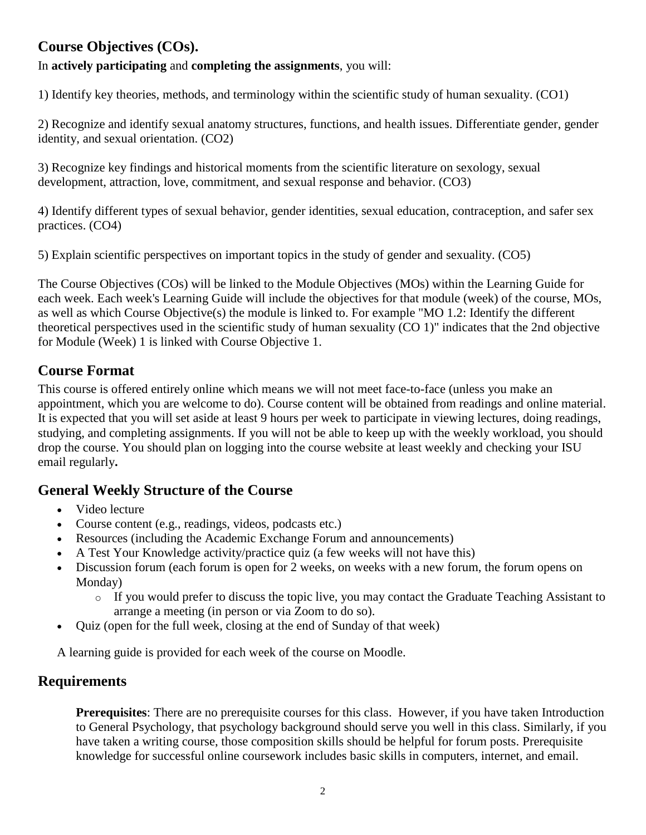#### **Course Objectives (COs).**

In **actively participating** and **completing the assignments**, you will:

1) Identify key theories, methods, and terminology within the scientific study of human sexuality. (CO1)

2) Recognize and identify sexual anatomy structures, functions, and health issues. Differentiate gender, gender identity, and sexual orientation. (CO2)

3) Recognize key findings and historical moments from the scientific literature on sexology, sexual development, attraction, love, commitment, and sexual response and behavior. (CO3)

4) Identify different types of sexual behavior, gender identities, sexual education, contraception, and safer sex practices. (CO4)

5) Explain scientific perspectives on important topics in the study of gender and sexuality. (CO5)

The Course Objectives (COs) will be linked to the Module Objectives (MOs) within the Learning Guide for each week. Each week's Learning Guide will include the objectives for that module (week) of the course, MOs, as well as which Course Objective(s) the module is linked to. For example "MO 1.2: Identify the different theoretical perspectives used in the scientific study of human sexuality (CO 1)" indicates that the 2nd objective for Module (Week) 1 is linked with Course Objective 1.

#### **Course Format**

This course is offered entirely online which means we will not meet face-to-face (unless you make an appointment, which you are welcome to do). Course content will be obtained from readings and online material. It is expected that you will set aside at least 9 hours per week to participate in viewing lectures, doing readings, studying, and completing assignments. If you will not be able to keep up with the weekly workload, you should drop the course. You should plan on logging into the course website at least weekly and checking your ISU email regularly**.** 

#### **General Weekly Structure of the Course**

- Video lecture
- Course content (e.g., readings, videos, podcasts etc.)
- Resources (including the Academic Exchange Forum and announcements)
- A Test Your Knowledge activity/practice quiz (a few weeks will not have this)
- Discussion forum (each forum is open for 2 weeks, on weeks with a new forum, the forum opens on Monday)
	- o If you would prefer to discuss the topic live, you may contact the Graduate Teaching Assistant to arrange a meeting (in person or via Zoom to do so).
- Quiz (open for the full week, closing at the end of Sunday of that week)

A learning guide is provided for each week of the course on Moodle.

#### **Requirements**

**Prerequisites**: There are no prerequisite courses for this class. However, if you have taken Introduction to General Psychology, that psychology background should serve you well in this class. Similarly, if you have taken a writing course, those composition skills should be helpful for forum posts. Prerequisite knowledge for successful online coursework includes basic skills in computers, internet, and email.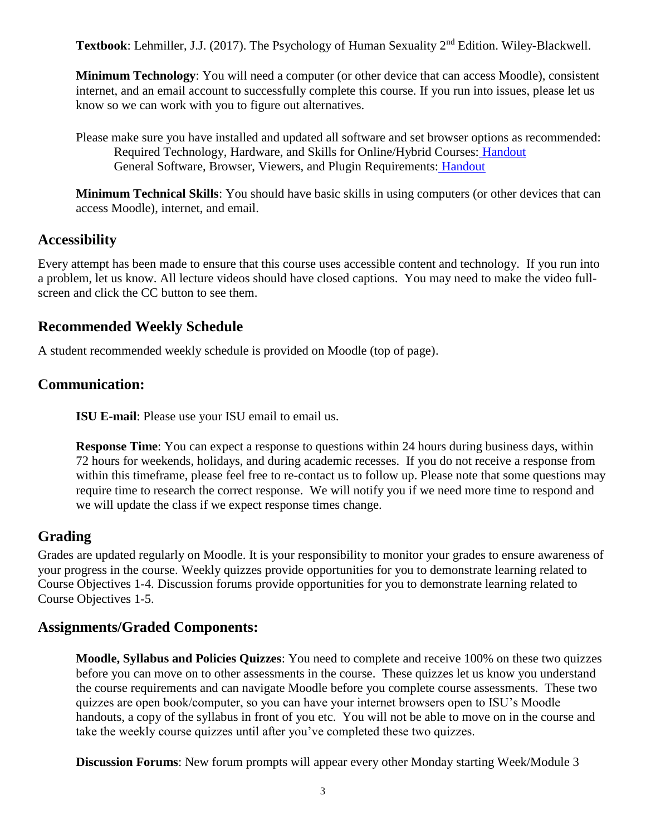**Textbook**: Lehmiller, J.J. (2017). The Psychology of Human Sexuality 2nd Edition. Wiley-Blackwell.

**Minimum Technology**: You will need a computer (or other device that can access Moodle), consistent internet, and an email account to successfully complete this course. If you run into issues, please let us know so we can work with you to figure out alternatives.

Please make sure you have installed and updated all software and set browser options as recommended: Required Technology, Hardware, and Skills for Online/Hybrid Courses: [Handout](https://docs.google.com/document/d/1sYeU9rtPEGMrEnCwItPggP6BsCBk002mHCbL9PPpNgY/pub) General Software, Browser, Viewers, and Plugin Requirements: [Handout](https://docs.google.com/document/d/14zHm-A3YSHsIOhRS-Rs0i2oqnQXA3THVQpoCqZGpMnE/pub)

**Minimum Technical Skills**: You should have basic skills in using computers (or other devices that can access Moodle), internet, and email.

#### **Accessibility**

Every attempt has been made to ensure that this course uses accessible content and technology. If you run into a problem, let us know. All lecture videos should have closed captions. You may need to make the video fullscreen and click the CC button to see them.

#### **Recommended Weekly Schedule**

A student recommended weekly schedule is provided on Moodle (top of page).

#### **Communication:**

**ISU E-mail**: Please use your ISU email to email us.

**Response Time**: You can expect a response to questions within 24 hours during business days, within 72 hours for weekends, holidays, and during academic recesses. If you do not receive a response from within this timeframe, please feel free to re-contact us to follow up. Please note that some questions may require time to research the correct response. We will notify you if we need more time to respond and we will update the class if we expect response times change.

#### **Grading**

Grades are updated regularly on Moodle. It is your responsibility to monitor your grades to ensure awareness of your progress in the course. Weekly quizzes provide opportunities for you to demonstrate learning related to Course Objectives 1-4. Discussion forums provide opportunities for you to demonstrate learning related to Course Objectives 1-5.

#### **Assignments/Graded Components:**

**Moodle, Syllabus and Policies Quizzes**: You need to complete and receive 100% on these two quizzes before you can move on to other assessments in the course. These quizzes let us know you understand the course requirements and can navigate Moodle before you complete course assessments. These two quizzes are open book/computer, so you can have your internet browsers open to ISU's Moodle handouts, a copy of the syllabus in front of you etc. You will not be able to move on in the course and take the weekly course quizzes until after you've completed these two quizzes.

**Discussion Forums**: New forum prompts will appear every other Monday starting Week/Module 3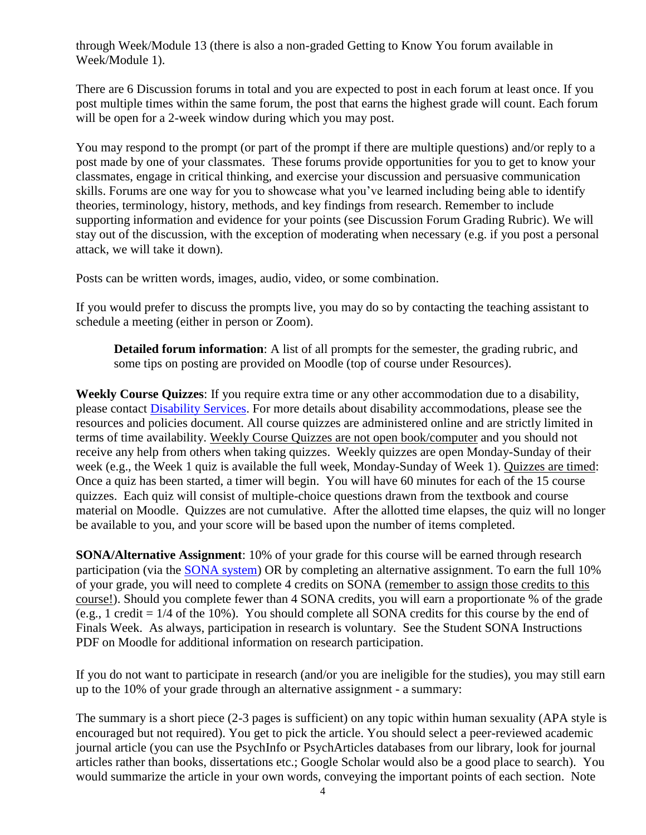through Week/Module 13 (there is also a non-graded Getting to Know You forum available in Week/Module 1).

There are 6 Discussion forums in total and you are expected to post in each forum at least once. If you post multiple times within the same forum, the post that earns the highest grade will count. Each forum will be open for a 2-week window during which you may post.

You may respond to the prompt (or part of the prompt if there are multiple questions) and/or reply to a post made by one of your classmates. These forums provide opportunities for you to get to know your classmates, engage in critical thinking, and exercise your discussion and persuasive communication skills. Forums are one way for you to showcase what you've learned including being able to identify theories, terminology, history, methods, and key findings from research. Remember to include supporting information and evidence for your points (see Discussion Forum Grading Rubric). We will stay out of the discussion, with the exception of moderating when necessary (e.g. if you post a personal attack, we will take it down).

Posts can be written words, images, audio, video, or some combination.

If you would prefer to discuss the prompts live, you may do so by contacting the teaching assistant to schedule a meeting (either in person or Zoom).

**Detailed forum information**: A list of all prompts for the semester, the grading rubric, and some tips on posting are provided on Moodle (top of course under Resources).

**Weekly Course Quizzes**: If you require extra time or any other accommodation due to a disability, please contact [Disability Services.](https://www.isu.edu/disabilityservices/) For more details about disability accommodations, please see the resources and policies document. All course quizzes are administered online and are strictly limited in terms of time availability. Weekly Course Quizzes are not open book/computer and you should not receive any help from others when taking quizzes. Weekly quizzes are open Monday-Sunday of their week (e.g., the Week 1 quiz is available the full week, Monday-Sunday of Week 1). Quizzes are timed: Once a quiz has been started, a timer will begin. You will have 60 minutes for each of the 15 course quizzes. Each quiz will consist of multiple-choice questions drawn from the textbook and course material on Moodle. Quizzes are not cumulative. After the allotted time elapses, the quiz will no longer be available to you, and your score will be based upon the number of items completed.

**SONA/Alternative Assignment**: 10% of your grade for this course will be earned through research participation (via the [SONA system\)](https://www.isu.edu/psych/research-participation/) OR by completing an alternative assignment. To earn the full 10% of your grade, you will need to complete 4 credits on SONA (remember to assign those credits to this course!). Should you complete fewer than 4 SONA credits, you will earn a proportionate % of the grade (e.g., 1 credit = 1/4 of the 10%). You should complete all SONA credits for this course by the end of Finals Week. As always, participation in research is voluntary. See the Student SONA Instructions PDF on Moodle for additional information on research participation.

If you do not want to participate in research (and/or you are ineligible for the studies), you may still earn up to the 10% of your grade through an alternative assignment - a summary:

The summary is a short piece (2-3 pages is sufficient) on any topic within human sexuality (APA style is encouraged but not required). You get to pick the article. You should select a peer-reviewed academic journal article (you can use the PsychInfo or PsychArticles databases from our library, look for journal articles rather than books, dissertations etc.; Google Scholar would also be a good place to search). You would summarize the article in your own words, conveying the important points of each section. Note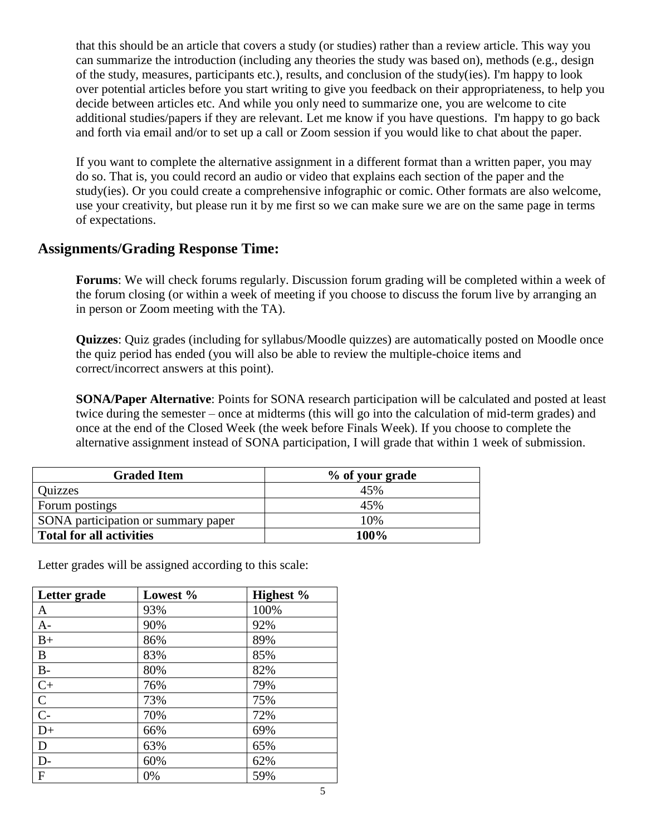that this should be an article that covers a study (or studies) rather than a review article. This way you can summarize the introduction (including any theories the study was based on), methods (e.g., design of the study, measures, participants etc.), results, and conclusion of the study(ies). I'm happy to look over potential articles before you start writing to give you feedback on their appropriateness, to help you decide between articles etc. And while you only need to summarize one, you are welcome to cite additional studies/papers if they are relevant. Let me know if you have questions. I'm happy to go back and forth via email and/or to set up a call or Zoom session if you would like to chat about the paper.

If you want to complete the alternative assignment in a different format than a written paper, you may do so. That is, you could record an audio or video that explains each section of the paper and the study(ies). Or you could create a comprehensive infographic or comic. Other formats are also welcome, use your creativity, but please run it by me first so we can make sure we are on the same page in terms of expectations.

#### **Assignments/Grading Response Time:**

**Forums**: We will check forums regularly. Discussion forum grading will be completed within a week of the forum closing (or within a week of meeting if you choose to discuss the forum live by arranging an in person or Zoom meeting with the TA).

**Quizzes**: Quiz grades (including for syllabus/Moodle quizzes) are automatically posted on Moodle once the quiz period has ended (you will also be able to review the multiple-choice items and correct/incorrect answers at this point).

**SONA/Paper Alternative**: Points for SONA research participation will be calculated and posted at least twice during the semester – once at midterms (this will go into the calculation of mid-term grades) and once at the end of the Closed Week (the week before Finals Week). If you choose to complete the alternative assignment instead of SONA participation, I will grade that within 1 week of submission.

| <b>Graded Item</b>                  | % of your grade |
|-------------------------------------|-----------------|
| <b>Quizzes</b>                      | 45%             |
| Forum postings                      | 45%             |
| SONA participation or summary paper | 10%             |
| <b>Total for all activities</b>     | 100%            |

Letter grades will be assigned according to this scale:

| Letter grade   | Lowest % | Highest % |
|----------------|----------|-----------|
| A              | 93%      | 100%      |
| $A-$           | 90%      | 92%       |
| $B+$           | 86%      | 89%       |
| B              | 83%      | 85%       |
| $\rm B$ -      | 80%      | 82%       |
| $C+$           | 76%      | 79%       |
| $\overline{C}$ | 73%      | 75%       |
| $\overline{C}$ | 70%      | 72%       |
| $D+$           | 66%      | 69%       |
| D              | 63%      | 65%       |
| $D-$           | 60%      | 62%       |
| $\overline{F}$ | 0%       | 59%       |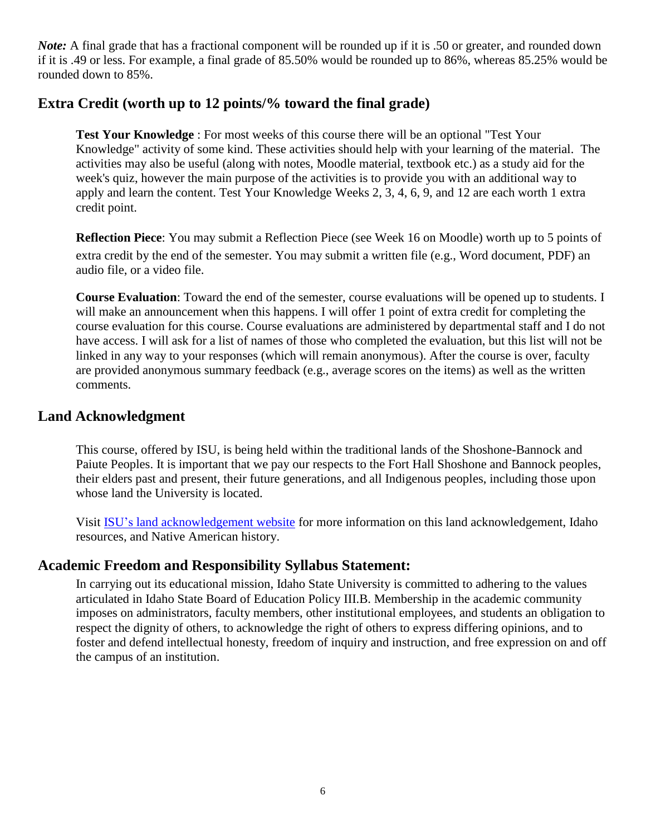*Note*: A final grade that has a fractional component will be rounded up if it is .50 or greater, and rounded down if it is .49 or less. For example, a final grade of 85.50% would be rounded up to 86%, whereas 85.25% would be rounded down to 85%.

#### **Extra Credit (worth up to 12 points/% toward the final grade)**

**Test Your Knowledge** : For most weeks of this course there will be an optional "Test Your Knowledge" activity of some kind. These activities should help with your learning of the material. The activities may also be useful (along with notes, Moodle material, textbook etc.) as a study aid for the week's quiz, however the main purpose of the activities is to provide you with an additional way to apply and learn the content. Test Your Knowledge Weeks 2, 3, 4, 6, 9, and 12 are each worth 1 extra credit point.

**Reflection Piece**: You may submit a Reflection Piece (see Week 16 on Moodle) worth up to 5 points of extra credit by the end of the semester. You may submit a written file (e.g., Word document, PDF) an audio file, or a video file.

**Course Evaluation**: Toward the end of the semester, course evaluations will be opened up to students. I will make an announcement when this happens. I will offer 1 point of extra credit for completing the course evaluation for this course. Course evaluations are administered by departmental staff and I do not have access. I will ask for a list of names of those who completed the evaluation, but this list will not be linked in any way to your responses (which will remain anonymous). After the course is over, faculty are provided anonymous summary feedback (e.g., average scores on the items) as well as the written comments.

#### **Land Acknowledgment**

This course, offered by ISU, is being held within the traditional lands of the Shoshone-Bannock and Paiute Peoples. It is important that we pay our respects to the Fort Hall Shoshone and Bannock peoples, their elders past and present, their future generations, and all Indigenous peoples, including those upon whose land the University is located.

Visit [ISU's land acknowledgement website](https://www.isu.edu/president/land-acknowledgment/) for more information on this land acknowledgement, Idaho resources, and Native American history.

#### **Academic Freedom and Responsibility Syllabus Statement:**

In carrying out its educational mission, Idaho State University is committed to adhering to the values articulated in Idaho State Board of Education Policy III.B. Membership in the academic community imposes on administrators, faculty members, other institutional employees, and students an obligation to respect the dignity of others, to acknowledge the right of others to express differing opinions, and to foster and defend intellectual honesty, freedom of inquiry and instruction, and free expression on and off the campus of an institution.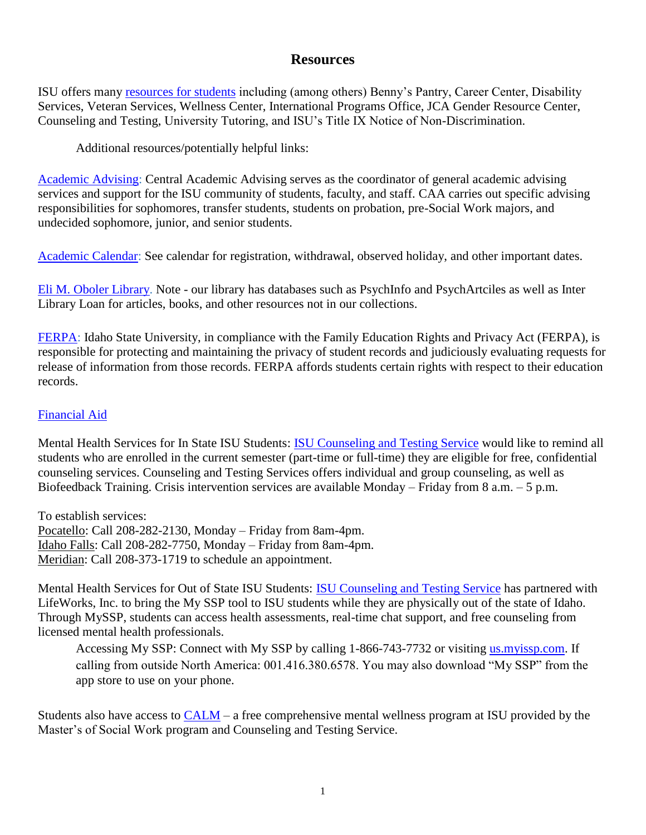#### **Resources**

ISU offers many [resources for students](https://www.isu.edu/deanofstudents/student-resources/) including (among others) Benny's Pantry, Career Center, Disability Services, Veteran Services, Wellness Center, International Programs Office, JCA Gender Resource Center, Counseling and Testing, University Tutoring, and ISU's Title IX Notice of Non-Discrimination.

Additional resources/potentially helpful links:

[Academic Advising:](https://www.isu.edu/advising/) Central Academic Advising serves as the coordinator of general academic advising services and support for the ISU community of students, faculty, and staff. CAA carries out specific advising responsibilities for sophomores, transfer students, students on probation, pre-Social Work majors, and undecided sophomore, junior, and senior students.

[Academic Calendar:](https://www.isu.edu/registrar/calendars/academic-calendar/) See calendar for registration, withdrawal, observed holiday, and other important dates.

Eli M. [Oboler Library.](https://www.isu.edu/library/) Note - our library has databases such as PsychInfo and PsychArtciles as well as Inter Library Loan for articles, books, and other resources not in our collections.

[FERPA:](https://www.isu.edu/registrar/student-resources/ferpa/) Idaho State University, in compliance with the Family Education Rights and Privacy Act (FERPA), is responsible for protecting and maintaining the privacy of student records and judiciously evaluating requests for release of information from those records. FERPA affords students certain rights with respect to their education records.

#### [Financial Aid](https://www.isu.edu/financialaid/)

Mental Health Services for In State ISU Students: [ISU Counseling and Testing Service](https://www.isu.edu/ctc/) would like to remind all students who are enrolled in the current semester (part-time or full-time) they are eligible for free, confidential counseling services. Counseling and Testing Services offers individual and group counseling, as well as Biofeedback Training. Crisis intervention services are available Monday – Friday from 8 a.m. – 5 p.m.

To establish services: Pocatello: Call 208-282-2130, Monday – Friday from 8am-4pm. Idaho Falls: Call 208-282-7750, Monday – Friday from 8am-4pm. Meridian: Call 208-373-1719 to schedule an appointment.

Mental Health Services for Out of State ISU Students: [ISU Counseling and Testing Service](https://www.isu.edu/ctc/) has partnered with LifeWorks, Inc. to bring the My SSP tool to ISU students while they are physically out of the state of Idaho. Through MySSP, students can access health assessments, real-time chat support, and free counseling from licensed mental health professionals.

Accessing My SSP: Connect with My SSP by calling 1-866-743-7732 or visiting [us.myissp.com.](us.myissp.com) If calling from outside North America: 001.416.380.6578. You may also download "My SSP" from the app store to use on your phone.

Students also have access to  $CALM - a$  free comprehensive mental wellness program at ISU provided by the Master's of Social Work program and Counseling and Testing Service.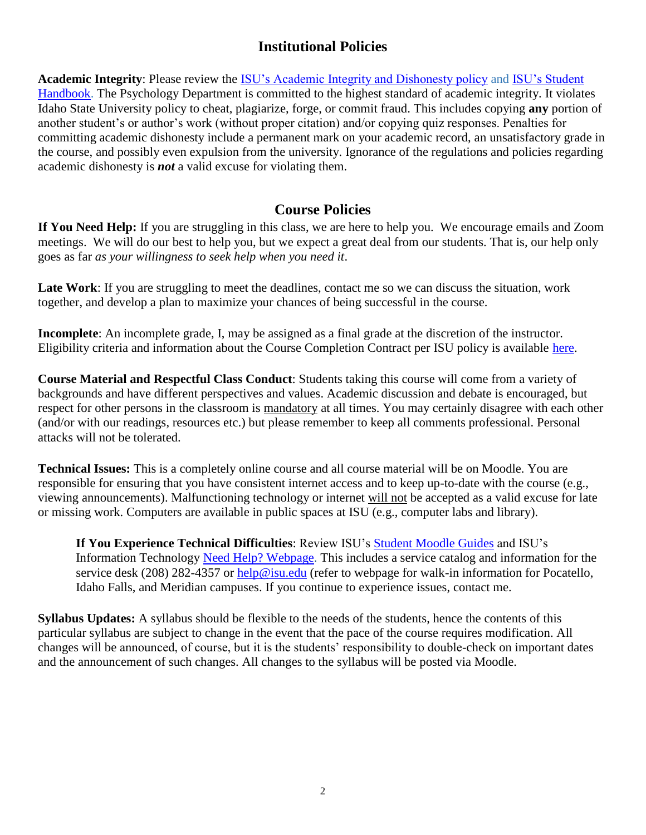#### **Institutional Policies**

**Academic Integrity**: Please review the [ISU's Academic Integrity and Dishonesty policy](http://coursecat.isu.edu/undergraduate/academic_integrity_and_dishonesty_policy/) and [ISU's Student](https://www.isu.edu/media/libraries/student-affairs/Student-Handbook-1.pdf)  [Handbook.](https://www.isu.edu/media/libraries/student-affairs/Student-Handbook-1.pdf) The Psychology Department is committed to the highest standard of academic integrity. It violates Idaho State University policy to cheat, plagiarize, forge, or commit fraud. This includes copying **any** portion of another student's or author's work (without proper citation) and/or copying quiz responses. Penalties for committing academic dishonesty include a permanent mark on your academic record, an unsatisfactory grade in the course, and possibly even expulsion from the university. Ignorance of the regulations and policies regarding academic dishonesty is *not* a valid excuse for violating them.

#### **Course Policies**

**If You Need Help:** If you are struggling in this class, we are here to help you. We encourage emails and Zoom meetings. We will do our best to help you, but we expect a great deal from our students. That is, our help only goes as far *as your willingness to seek help when you need it*.

**Late Work**: If you are struggling to meet the deadlines, contact me so we can discuss the situation, work together, and develop a plan to maximize your chances of being successful in the course.

**Incomplete**: An incomplete grade, I, may be assigned as a final grade at the discretion of the instructor. Eligibility criteria and information about the Course Completion Contract per ISU policy is available [here.](http://coursecat.isu.edu/undergraduate/academicinformation/creditandgradingpolicies/)

**Course Material and Respectful Class Conduct**: Students taking this course will come from a variety of backgrounds and have different perspectives and values. Academic discussion and debate is encouraged, but respect for other persons in the classroom is mandatory at all times. You may certainly disagree with each other (and/or with our readings, resources etc.) but please remember to keep all comments professional. Personal attacks will not be tolerated.

**Technical Issues:** This is a completely online course and all course material will be on Moodle. You are responsible for ensuring that you have consistent internet access and to keep up-to-date with the course (e.g., viewing announcements). Malfunctioning technology or internet will not be accepted as a valid excuse for late or missing work. Computers are available in public spaces at ISU (e.g., computer labs and library).

**If You Experience Technical Difficulties**: Review ISU's [Student Moodle Guides](https://tigertracks.isu.edu/TDClient/1950/Portal/KB/?CategoryID=14513) and ISU's Information Technology [Need Help? Webpage.](https://www.isu.edu/its/need-help/) This includes a service catalog and information for the service desk (208) 282-4357 or [help@isu.edu](mailto:help@isu.edu) (refer to webpage for walk-in information for Pocatello, Idaho Falls, and Meridian campuses. If you continue to experience issues, contact me.

**Syllabus Updates:** A syllabus should be flexible to the needs of the students, hence the contents of this particular syllabus are subject to change in the event that the pace of the course requires modification. All changes will be announced, of course, but it is the students' responsibility to double-check on important dates and the announcement of such changes. All changes to the syllabus will be posted via Moodle.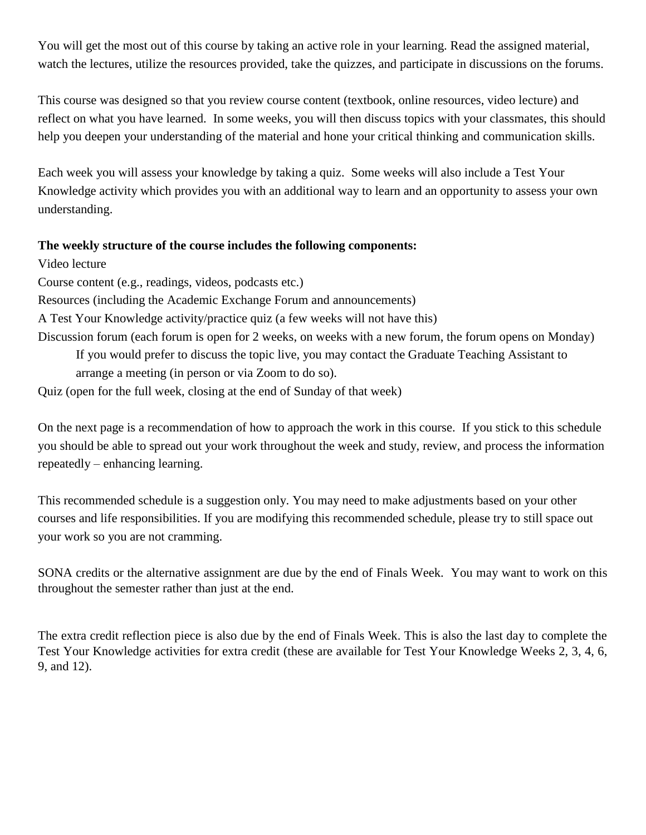You will get the most out of this course by taking an active role in your learning. Read the assigned material, watch the lectures, utilize the resources provided, take the quizzes, and participate in discussions on the forums.

This course was designed so that you review course content (textbook, online resources, video lecture) and reflect on what you have learned. In some weeks, you will then discuss topics with your classmates, this should help you deepen your understanding of the material and hone your critical thinking and communication skills.

Each week you will assess your knowledge by taking a quiz. Some weeks will also include a Test Your Knowledge activity which provides you with an additional way to learn and an opportunity to assess your own understanding.

#### **The weekly structure of the course includes the following components:**

Video lecture Course content (e.g., readings, videos, podcasts etc.) Resources (including the Academic Exchange Forum and announcements) A Test Your Knowledge activity/practice quiz (a few weeks will not have this) Discussion forum (each forum is open for 2 weeks, on weeks with a new forum, the forum opens on Monday) If you would prefer to discuss the topic live, you may contact the Graduate Teaching Assistant to arrange a meeting (in person or via Zoom to do so). Quiz (open for the full week, closing at the end of Sunday of that week)

On the next page is a recommendation of how to approach the work in this course. If you stick to this schedule you should be able to spread out your work throughout the week and study, review, and process the information repeatedly – enhancing learning.

This recommended schedule is a suggestion only. You may need to make adjustments based on your other courses and life responsibilities. If you are modifying this recommended schedule, please try to still space out your work so you are not cramming.

SONA credits or the alternative assignment are due by the end of Finals Week. You may want to work on this throughout the semester rather than just at the end.

The extra credit reflection piece is also due by the end of Finals Week. This is also the last day to complete the Test Your Knowledge activities for extra credit (these are available for Test Your Knowledge Weeks 2, 3, 4, 6, 9, and 12).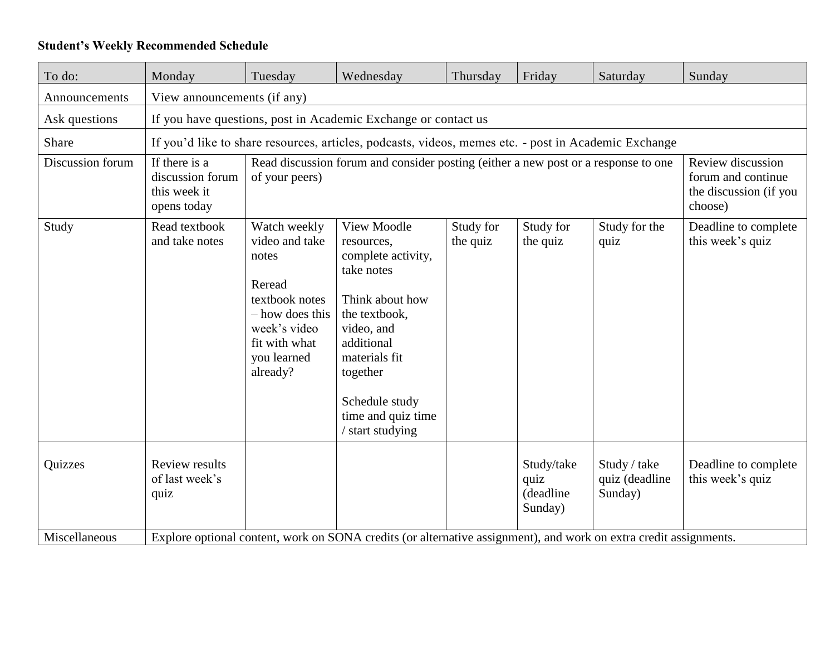#### **Student's Weekly Recommended Schedule**

| To do:           | Monday                                                                                                            | Tuesday                                                                                                                                            | Wednesday                                                                                                                                                                                                              | Thursday              | Friday                                      | Saturday                                  | Sunday                                   |  |  |
|------------------|-------------------------------------------------------------------------------------------------------------------|----------------------------------------------------------------------------------------------------------------------------------------------------|------------------------------------------------------------------------------------------------------------------------------------------------------------------------------------------------------------------------|-----------------------|---------------------------------------------|-------------------------------------------|------------------------------------------|--|--|
| Announcements    | View announcements (if any)                                                                                       |                                                                                                                                                    |                                                                                                                                                                                                                        |                       |                                             |                                           |                                          |  |  |
| Ask questions    | If you have questions, post in Academic Exchange or contact us                                                    |                                                                                                                                                    |                                                                                                                                                                                                                        |                       |                                             |                                           |                                          |  |  |
| Share            | If you'd like to share resources, articles, podcasts, videos, memes etc. - post in Academic Exchange              |                                                                                                                                                    |                                                                                                                                                                                                                        |                       |                                             |                                           |                                          |  |  |
| Discussion forum | If there is a<br>discussion forum<br>this week it<br>opens today                                                  | Read discussion forum and consider posting (either a new post or a response to one<br>of your peers)                                               | Review discussion<br>forum and continue<br>the discussion (if you<br>choose)                                                                                                                                           |                       |                                             |                                           |                                          |  |  |
| Study            | Read textbook<br>and take notes                                                                                   | Watch weekly<br>video and take<br>notes<br>Reread<br>textbook notes<br>- how does this<br>week's video<br>fit with what<br>you learned<br>already? | View Moodle<br>resources,<br>complete activity,<br>take notes<br>Think about how<br>the textbook,<br>video, and<br>additional<br>materials fit<br>together<br>Schedule study<br>time and quiz time<br>/ start studying | Study for<br>the quiz | Study for<br>the quiz                       | Study for the<br>quiz                     | Deadline to complete<br>this week's quiz |  |  |
| Quizzes          | <b>Review results</b><br>of last week's<br>quiz                                                                   |                                                                                                                                                    |                                                                                                                                                                                                                        |                       | Study/take<br>quiz<br>(deadline)<br>Sunday) | Study / take<br>quiz (deadline<br>Sunday) | Deadline to complete<br>this week's quiz |  |  |
| Miscellaneous    | Explore optional content, work on SONA credits (or alternative assignment), and work on extra credit assignments. |                                                                                                                                                    |                                                                                                                                                                                                                        |                       |                                             |                                           |                                          |  |  |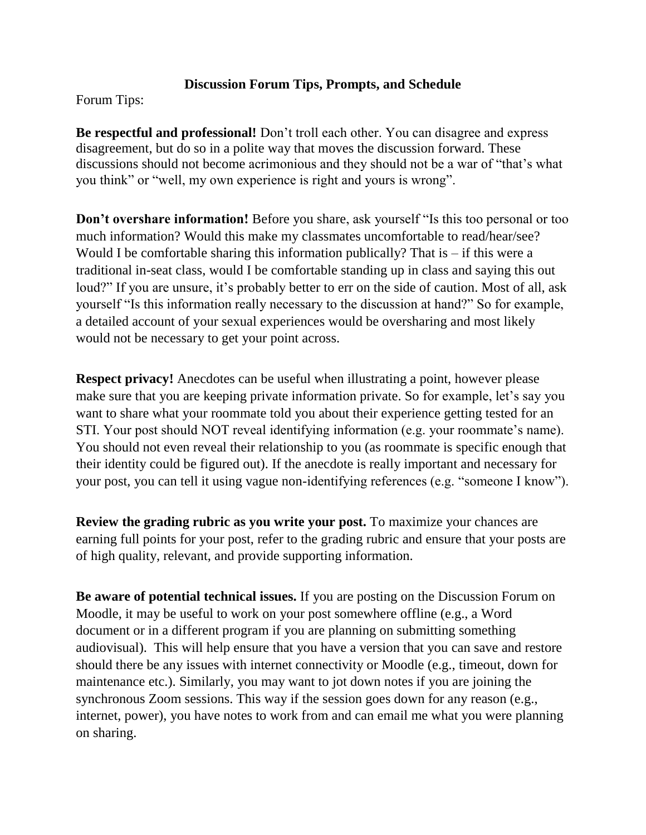#### **Discussion Forum Tips, Prompts, and Schedule**

Forum Tips:

**Be respectful and professional!** Don't troll each other. You can disagree and express disagreement, but do so in a polite way that moves the discussion forward. These discussions should not become acrimonious and they should not be a war of "that's what you think" or "well, my own experience is right and yours is wrong".

**Don't overshare information!** Before you share, ask yourself "Is this too personal or too much information? Would this make my classmates uncomfortable to read/hear/see? Would I be comfortable sharing this information publically? That is  $-$  if this were a traditional in-seat class, would I be comfortable standing up in class and saying this out loud?" If you are unsure, it's probably better to err on the side of caution. Most of all, ask yourself "Is this information really necessary to the discussion at hand?" So for example, a detailed account of your sexual experiences would be oversharing and most likely would not be necessary to get your point across.

**Respect privacy!** Anecdotes can be useful when illustrating a point, however please make sure that you are keeping private information private. So for example, let's say you want to share what your roommate told you about their experience getting tested for an STI. Your post should NOT reveal identifying information (e.g. your roommate's name). You should not even reveal their relationship to you (as roommate is specific enough that their identity could be figured out). If the anecdote is really important and necessary for your post, you can tell it using vague non-identifying references (e.g. "someone I know").

**Review the grading rubric as you write your post.** To maximize your chances are earning full points for your post, refer to the grading rubric and ensure that your posts are of high quality, relevant, and provide supporting information.

**Be aware of potential technical issues.** If you are posting on the Discussion Forum on Moodle, it may be useful to work on your post somewhere offline (e.g., a Word document or in a different program if you are planning on submitting something audiovisual). This will help ensure that you have a version that you can save and restore should there be any issues with internet connectivity or Moodle (e.g., timeout, down for maintenance etc.). Similarly, you may want to jot down notes if you are joining the synchronous Zoom sessions. This way if the session goes down for any reason (e.g., internet, power), you have notes to work from and can email me what you were planning on sharing.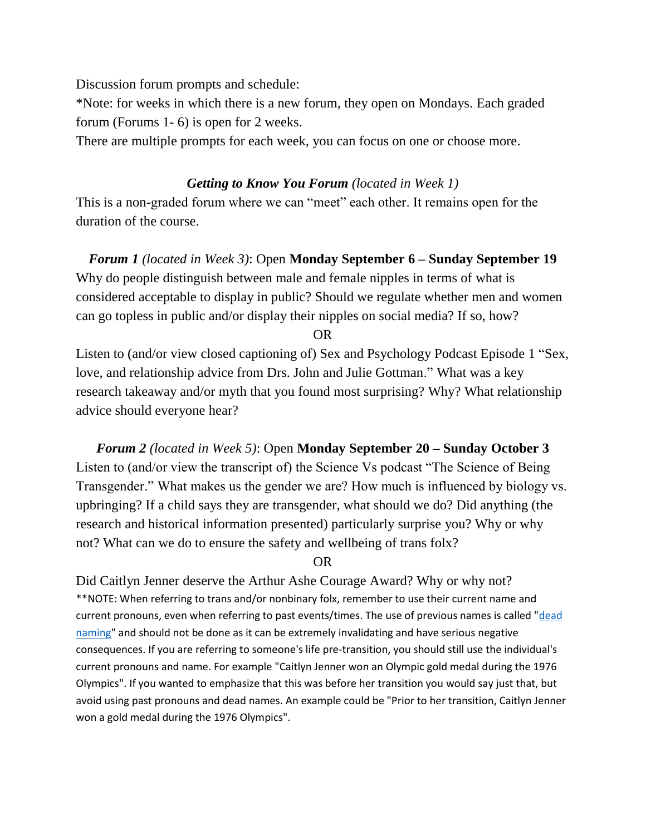Discussion forum prompts and schedule:

\*Note: for weeks in which there is a new forum, they open on Mondays. Each graded forum (Forums 1- 6) is open for 2 weeks.

There are multiple prompts for each week, you can focus on one or choose more.

#### *Getting to Know You Forum (located in Week 1)*

This is a non-graded forum where we can "meet" each other. It remains open for the duration of the course.

*Forum 1 (located in Week 3)*: Open **Monday September 6 – Sunday September 19** Why do people distinguish between male and female nipples in terms of what is considered acceptable to display in public? Should we regulate whether men and women can go topless in public and/or display their nipples on social media? If so, how?

OR

Listen to (and/or view closed captioning of) Sex and Psychology Podcast Episode 1 "Sex, love, and relationship advice from Drs. John and Julie Gottman." What was a key research takeaway and/or myth that you found most surprising? Why? What relationship advice should everyone hear?

*Forum 2 (located in Week 5)*: Open **Monday September 20 – Sunday October 3** Listen to (and/or view the transcript of) the Science Vs podcast "The Science of Being Transgender." What makes us the gender we are? How much is influenced by biology vs. upbringing? If a child says they are transgender, what should we do? Did anything (the research and historical information presented) particularly surprise you? Why or why not? What can we do to ensure the safety and wellbeing of trans folx?

#### OR

Did Caitlyn Jenner deserve the Arthur Ashe Courage Award? Why or why not? \*\*NOTE: When referring to trans and/or nonbinary folx, remember to use their current name and current pronouns, even when referring to past events/times. The use of previous names is called "dead [naming"](https://www.health.com/mind-body/deadname) and should not be done as it can be extremely invalidating and have serious negative consequences. If you are referring to someone's life pre-transition, you should still use the individual's current pronouns and name. For example "Caitlyn Jenner won an Olympic gold medal during the 1976 Olympics". If you wanted to emphasize that this was before her transition you would say just that, but avoid using past pronouns and dead names. An example could be "Prior to her transition, Caitlyn Jenner won a gold medal during the 1976 Olympics".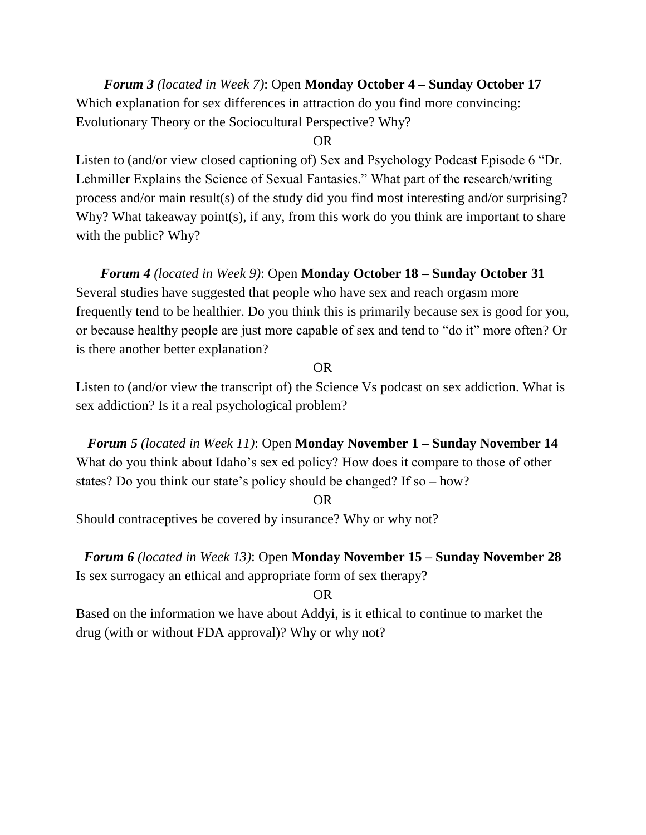#### *Forum 3 (located in Week 7)*: Open **Monday October 4 – Sunday October 17** Which explanation for sex differences in attraction do you find more convincing: Evolutionary Theory or the Sociocultural Perspective? Why?

#### OR

Listen to (and/or view closed captioning of) Sex and Psychology Podcast Episode 6 "Dr. Lehmiller Explains the Science of Sexual Fantasies." What part of the research/writing process and/or main result(s) of the study did you find most interesting and/or surprising? Why? What takeaway point(s), if any, from this work do you think are important to share with the public? Why?

#### *Forum 4 (located in Week 9)*: Open **Monday October 18 – Sunday October 31**

Several studies have suggested that people who have sex and reach orgasm more frequently tend to be healthier. Do you think this is primarily because sex is good for you, or because healthy people are just more capable of sex and tend to "do it" more often? Or is there another better explanation?

#### OR

Listen to (and/or view the transcript of) the Science Vs podcast on sex addiction. What is sex addiction? Is it a real psychological problem?

*Forum 5 (located in Week 11)*: Open **Monday November 1 – Sunday November 14** What do you think about Idaho's sex ed policy? How does it compare to those of other states? Do you think our state's policy should be changed? If so – how?

#### OR

Should contraceptives be covered by insurance? Why or why not?

*Forum 6 (located in Week 13)*: Open **Monday November 15 – Sunday November 28** Is sex surrogacy an ethical and appropriate form of sex therapy?

#### OR

Based on the information we have about Addyi, is it ethical to continue to market the drug (with or without FDA approval)? Why or why not?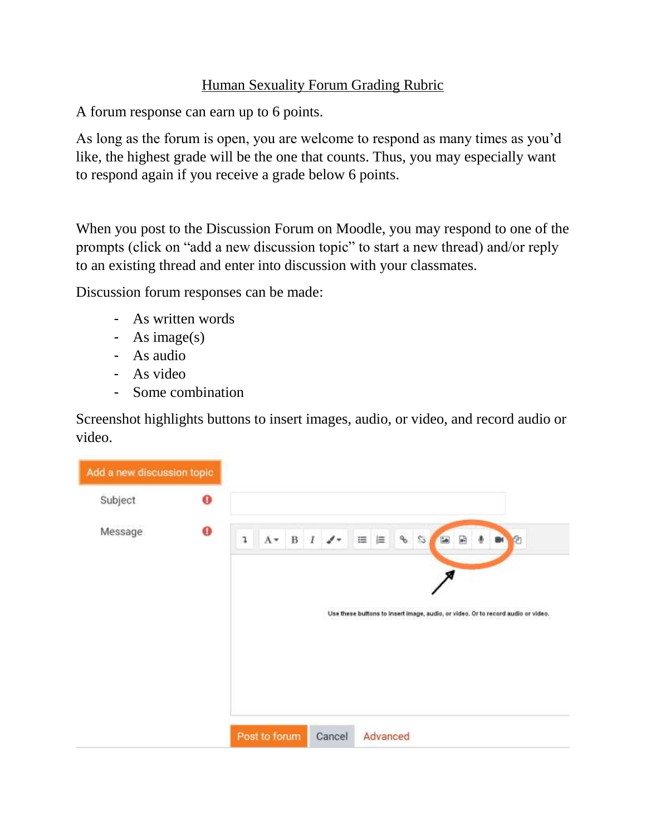#### Human Sexuality Forum Grading Rubric

A forum response can earn up to 6 points.

As long as the forum is open, you are welcome to respond as many times as you'd like, the highest grade will be the one that counts. Thus, you may especially want to respond again if you receive a grade below 6 points.

When you post to the Discussion Forum on Moodle, you may respond to one of the prompts (click on "add a new discussion topic" to start a new thread) and/or reply to an existing thread and enter into discussion with your classmates.

Discussion forum responses can be made:

- As written words
- As image(s)
- As audio
- As video
- Some combination

Screenshot highlights buttons to insert images, audio, or video, and record audio or video.